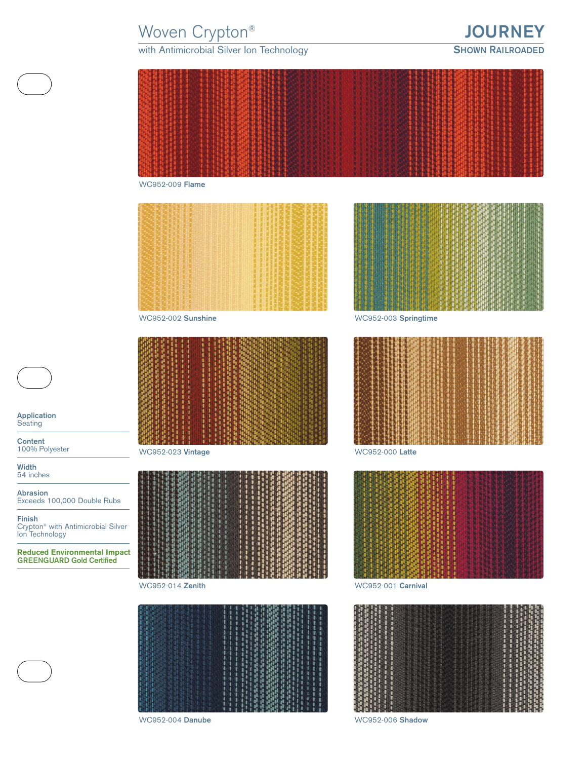# Woven Crypton® **JOURNEY**

### with Antimicrobial Silver Ion Technology **SHOWN RAILROADED**





**Application Seating** 

**Content** 100% Polyester

**Width** 54 inches

**Abrasion** Exceeds 100,000 Double Rubs

**Finish** Crypton® with Antimicrobial Silver Ion Technology

**Reduced Environmental Impact GREENGUARD Gold Certified**